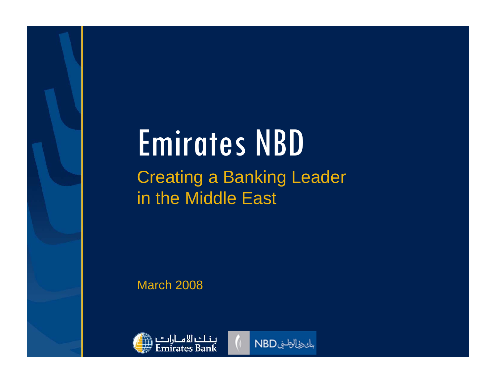# Emirates NBD Creating a Banking Leader in the Middle East

March 2008



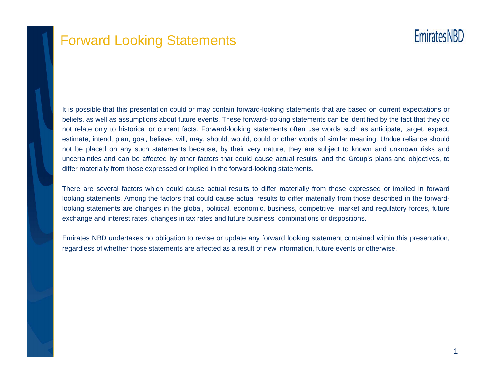

### Forward Looking Statements

# **Emirates NBD**

It is possible that this presentation could or may contain forward-looking statements that are based on current expectations or beliefs, as well as assumptions about future events. These forward-looking statements can be identified by the fact that they do not relate only to historical or current facts. Forward-looking statements often use words such as anticipate, target, expect, estimate, intend, plan, goal, believe, will, may, should, would, could or other words of similar meaning. Undue reliance should not be placed on any such statements because, by their very nature, they are subject to known and unknown risks and uncertainties and can be affected by other factors that could cause actual results, and the Group's plans and objectives, to differ materially from those expressed or implied in the forward-looking statements.

There are several factors which could cause actual results to differ materially from those expressed or implied in forward looking statements. Among the factors that could cause actual results to differ materially from those described in the forwardlooking statements are changes in the global, political, economic, business, competitive, market and regulatory forces, future exchange and interest rates, changes in tax rates and future business combinations or dispositions.

Emirates NBD undertakes no obligation to revise or update any forward looking statement contained within this presentation, regardless of whether those statements are affected as a result of new information, future events or otherwise.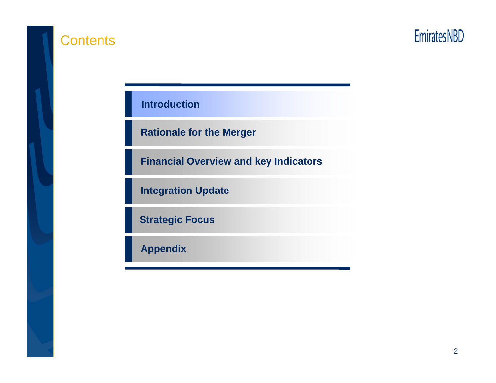

### **Contents**



**Introduction**

**Rationale for the Merger**

**Financial Overview and key Indicators**

**Integration Update**

**Strategic Focus**

**Appendix**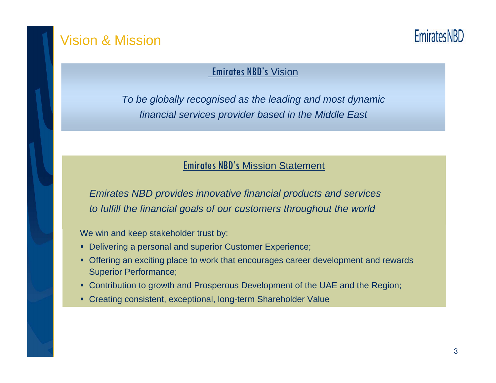### Vision & Mission

**Emirates NBD** 

#### Emirates NBD's Vision

*To be globally recognised as the leading and most dynamic financial services provider based in the Middle East*

#### Emirates NBD's Mission Statement

*Emirates NBD provides innovative financial products and services to fulfill the financial goals of our customers throughout the world*

We win and keep stakeholder trust by:

- **Delivering a personal and superior Customer Experience;**
- Offering an exciting place to work that encourages career development and rewards Superior Performance;
- Contribution to growth and Prosperous Development of the UAE and the Region;
- Creating consistent, exceptional, long-term Shareholder Value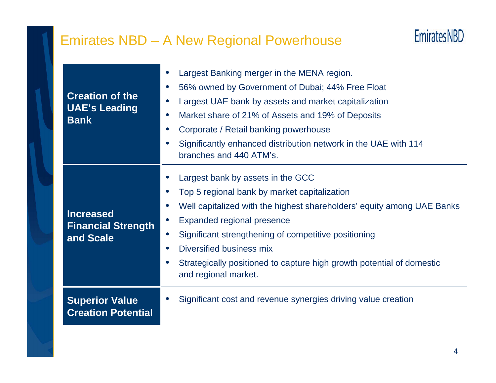# Emirates NBD – A New Regional Powerhouse



| <b>Creation of the</b><br><b>UAE's Leading</b><br><b>Bank</b> | Largest Banking merger in the MENA region.<br>$\bullet$<br>56% owned by Government of Dubai; 44% Free Float<br>$\bullet$<br>Largest UAE bank by assets and market capitalization<br>$\bullet$<br>Market share of 21% of Assets and 19% of Deposits<br>$\bullet$<br>Corporate / Retail banking powerhouse<br>$\bullet$<br>Significantly enhanced distribution network in the UAE with 114<br>$\bullet$<br>branches and 440 ATM's.                                    |
|---------------------------------------------------------------|---------------------------------------------------------------------------------------------------------------------------------------------------------------------------------------------------------------------------------------------------------------------------------------------------------------------------------------------------------------------------------------------------------------------------------------------------------------------|
| <b>Increased</b><br><b>Financial Strength</b><br>and Scale    | Largest bank by assets in the GCC<br>Top 5 regional bank by market capitalization<br>$\bullet$<br>Well capitalized with the highest shareholders' equity among UAE Banks<br>$\bullet$<br><b>Expanded regional presence</b><br>$\bullet$<br>Significant strengthening of competitive positioning<br>$\bullet$<br>Diversified business mix<br>$\bullet$<br>Strategically positioned to capture high growth potential of domestic<br>$\bullet$<br>and regional market. |
| <b>Superior Value</b><br><b>Creation Potential</b>            | Significant cost and revenue synergies driving value creation                                                                                                                                                                                                                                                                                                                                                                                                       |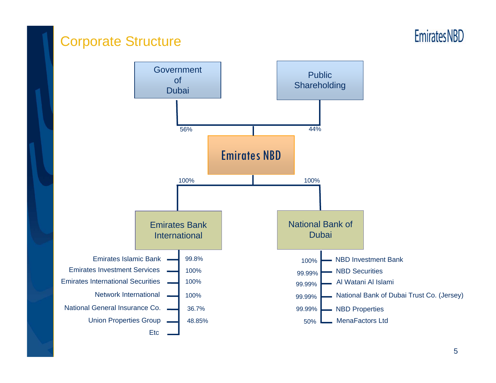### Corporate Structure

# **EmiratesNBD**

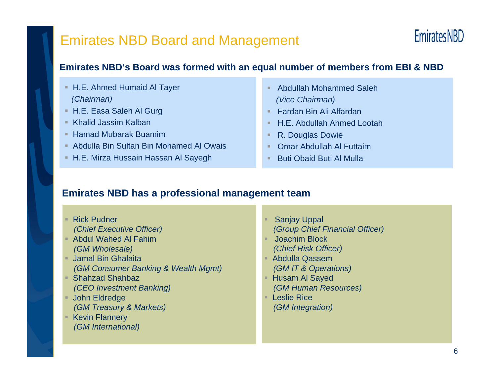### Emirates NBD Board and Management



#### **Emirates NBD's Board was formed with an equal number of members from EBI & NBD**

- H.E. Ahmed Humaid Al Tayer *(Chairman)*
- H.E. Easa Saleh Al Gurg
- Khalid Jassim Kalban
- Hamad Mubarak Buamim
- Abdulla Bin Sultan Bin Mohamed Al Owais
- H.E. Mirza Hussain Hassan Al Sayegh
- Abdullah Mohammed Saleh*(Vice Chairman)*
- Fardan Bin Ali Alfardan
- H.E. Abdullah Ahmed Lootah
- ٠ R. Douglas Dowie
- Omar Abdullah Al Futtaim
- **Buti Obaid Buti Al Mulla**

#### **Emirates NBD has a professional management team**

■ Rick Pudner *(Chief Executive Officer)* Abdul Wahed Al Fahim*(GM Wholesale)* Jamal Bin Ghalaita*(GM Consumer Banking & Wealth Mgmt)* Shahzad Shahbaz*(CEO Investment Banking)* John Eldredge *(GM Treasury & Markets)* Kevin Flannery *(GM International)* Sanjay Uppal *(Group Chief Financial Officer)* Joachim Block *(Chief Risk Officer)*  Abdulla Qassem*(GM IT & Operations)* ■ Husam Al Sayed *(GM Human Resources)* Leslie Rice*(GM Integration)*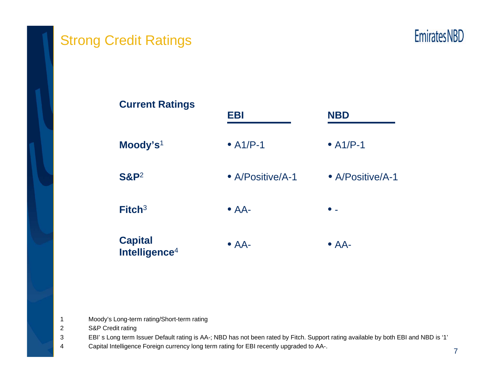

# Strong Credit Ratings



**Moody's**<sup>1</sup> **S&P**<sup>2</sup> **Fitch**<sup>3</sup> **EBI NBD**• A1/P-1 $\bullet$  A1/P-1 • A/Positive/A-1 $\bullet$  AA-  $\bullet$  -**Current Ratings** • A/Positive/A-1**Capital Intelligence**<sup>4</sup>  $\bullet$  AA- $\bullet$  AA-

1 Moody's Long-term rating/Short-term rating

2 S&P Credit rating

3 EBI' s Long term Issuer Default rating is AA-; NBD has not been rated by Fitch. Support rating available by both EBI and NBD is '1'

4 Capital Intelligence Foreign currency long term rating for EBI recently upgraded to AA-.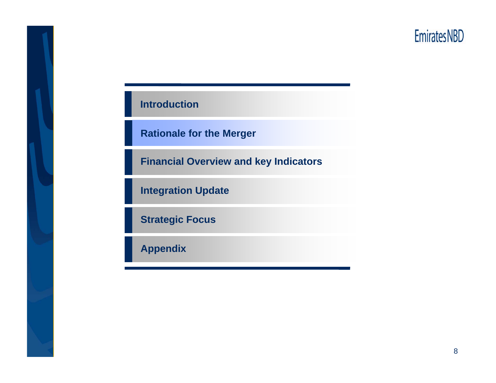# **EmiratesNBD**

#### **Introduction**

**Rationale for the Merger**

**Financial Overview and key Indicators**

**Integration Update**

**Strategic Focus**

**Appendix**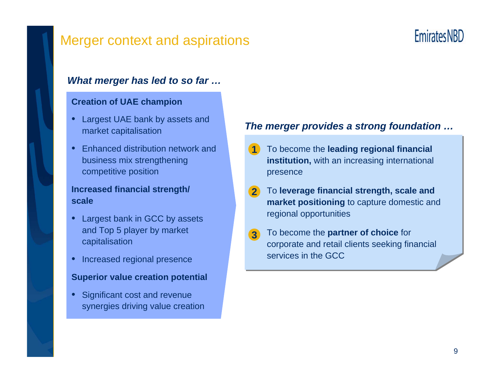### Merger context and aspirations

# **EmiratesNBD**

#### *What merger has led to so far …*

#### **Creation of UAE champion**

- • Largest UAE bank by assets and market capitalisation
- • Enhanced distribution network and business mix strengthening competitive position

#### **Increased financial strength/ scale**

- • Largest bank in GCC by assets and Top 5 player by market capitalisation
- Increased regional presence

#### **Superior value creation potential**

• Significant cost and revenue synergies driving value creation

#### *The merger provides a strong foundation …*

- To become the **leading regional financial institution,** with an increasing international presence **1**
- To **leverage financial strength, scale and market positioning** to capture domestic and regional opportunities **2**
- To become the **partner of choice** for corporate and retail clients seeking financial services in the GCC**3**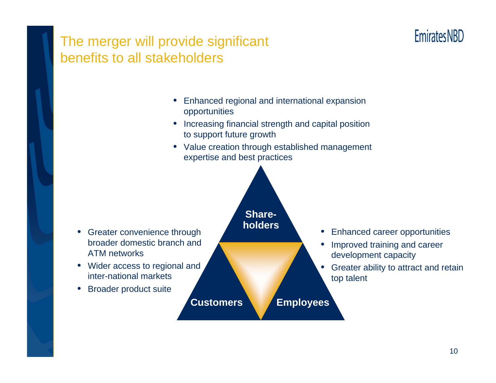# **Emirates NBD**

### The merger will provide significant benefits to all stakeholders

- • Enhanced regional and international expansion opportunities
- Increasing financial strength and capital position to support future growth
- Value creation through established management expertise and best practices

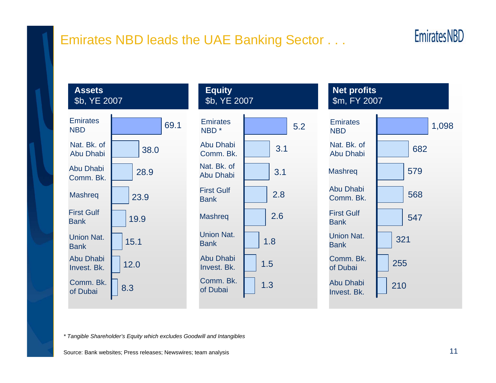### Emirates NBD leads the UAE Banking Sector . . .



#### **Assets**\$b, YE 2007





#### **Net profits** \$m, FY 2007



*\* Tangible Shareholder's Equity which excludes Goodwill and Intangibles*

Source: Bank websites; Press releases; Newswires; team analysis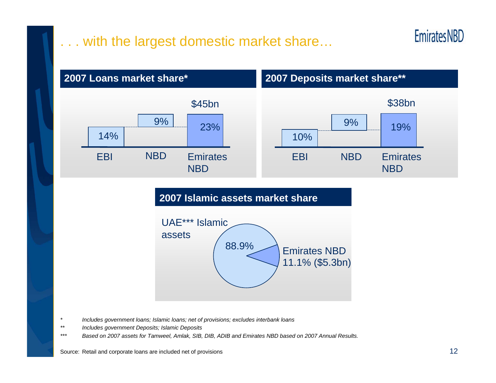# . with the largest domestic market share...





#### **2007 Islamic assets market share**



- *\* Includes government loans; Islamic loans; net of provisions; excludes interbank loans*
- *\*\* Includes government Deposits; Islamic Deposits*
- *\*\*\* Based on 2007 assets for Tamweel, Amlak, SIB, DIB, ADIB and Emirates NBD based on 2007 Annual Results.*

Source: Retail and corporate loans are included net of provisions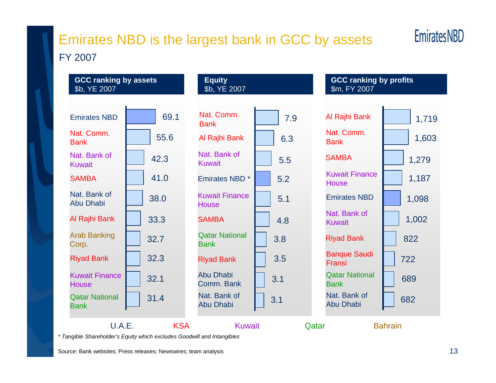# Emirates NBD is the largest bank in GCC by assets FY 2007

# **Emirates NBD**

Nat. Bank of Abu DhabiAl Rajhi Bank Arab Banking Corp. Riyad Bank Kuwait Finance**House** Qatar National **Bank** Emirates NBDNat. Comm.BankNat. Bank of KuwaitSAMBA**GCC ranking by assets**  \$b, YE 2007 **Equity** \$b, YE 2007 **GCC ranking by profits**  \$m, FY 2007 69.155.642.341.038.0 33.332.732.332.131.4Emirates NBD \*Nat. Comm.BankAl Rajhi Bank Nat. Bank of KuwaitKuwait Finance**House SAMBA** Qatar National **Bank** Riyad Bank Nat. Bank of Abu DhabiAbu Dhabi Comm. BankAl Rajhi Bank 1,719 Nat. Comm.Bank**SAMBA** Kuwait Finance**House** Emirates NBDNat. Bank of KuwaitRiyad Bank Banque Saudi FransiQatar National BankNat. Bank of Abu Dhabi6.3 1,603 5.55.25.14.83.83.53.13.17.91,279 1,187 1,098 1,002 822722689682 U.A.E.KSA Kuwait Qatar Bahrain

*\* Tangible Shareholder's Equity which excludes Goodwill and Intangibles*

Source: Bank websites; Press releases; Newswires; team analysis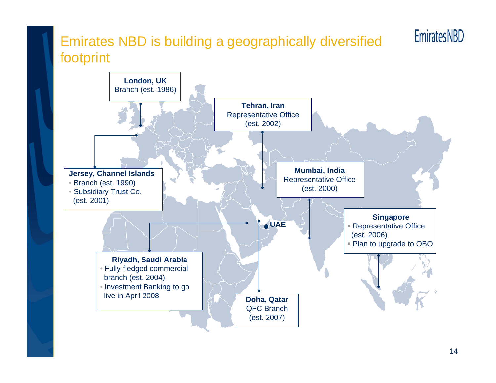# Emirates NBD is building a geographically diversified footprint



**Emirates NBD**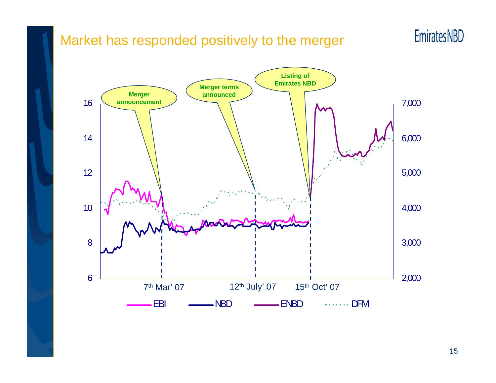### Market has responded positively to the merger





15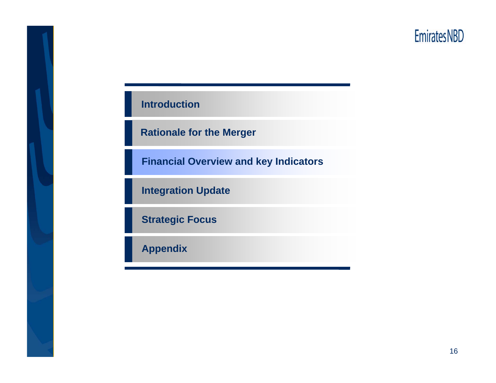# **EmiratesNBD**

#### **Introduction**

**Rationale for the Merger**

**Financial Overview and key Indicators**

**Integration Update**

**Strategic Focus**

**Appendix**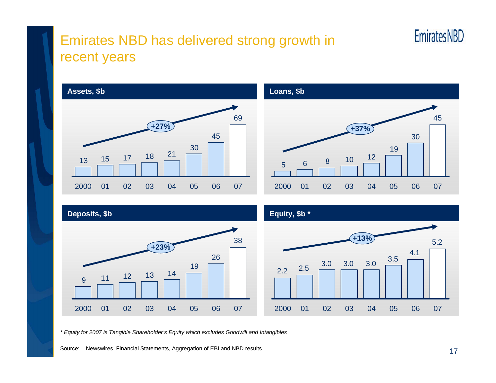# Emirates NBD has delivered strong growth in recent years



*\* Equity for 2007 is Tangible Shareholder's Equity which excludes Goodwill and Intangibles*

Source: Newswires, Financial Statements, Aggregation of EBI and NBD results

**EmiratesNBD**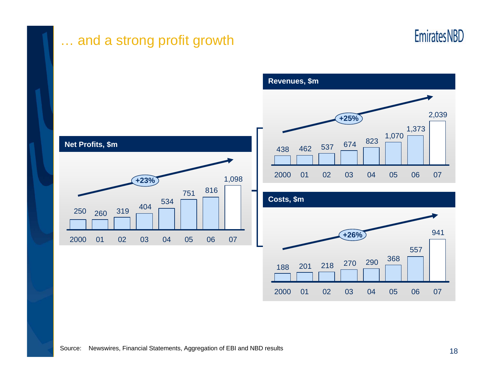

### … and a strong profit growth



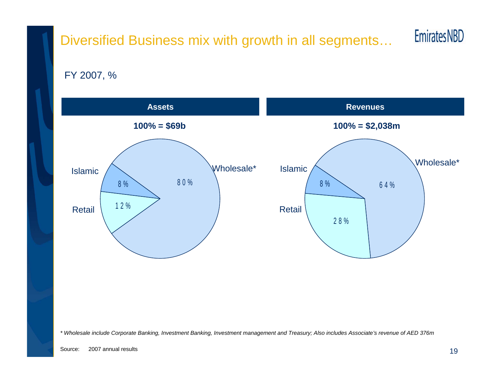# Diversified Business mix with growth in all segments…



FY 2007, %



*\* Wholesale include Corporate Banking, Investment Banking, Investment management and Treasury; Also includes Associate's revenue of AED 376m*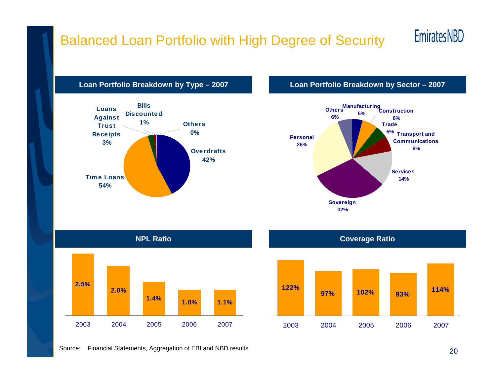# Balanced Loan Portfolio with High Degree of Security

# **EmiratesNBD**





#### **Loan Portfolio Breakdown by Type – 2007 Loan Portfolio Breakdown by Sector – 2007**







Source: Financial Statements, Aggregation of EBI and NBD results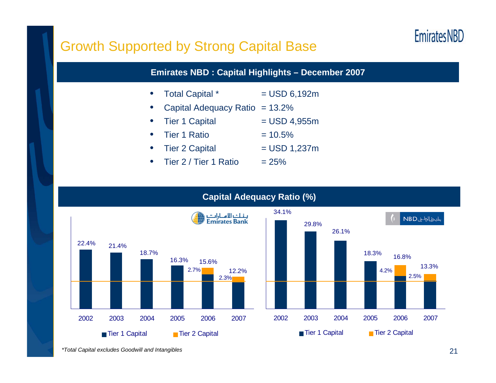# **EmiratesNBD**

### Growth Supported by Strong Capital Base

#### **Emirates NBD : Capital Highlights – December 2007**

- •Total Capital  $*$  = USD 6,192m
- •Capital Adequacy Ratio = 13.2%
- •Tier 1 Capital  $=$  USD 4,955m
- •Tier 1 Ratio  $= 10.5\%$
- •Tier 2 Capital  $=$  USD 1,237m
- •Tier  $2 /$  Tier 1 Ratio  $= 25\%$

#### **Capital Adequacy Ratio (%)**



*<sup>\*</sup>Total Capital excludes Goodwill and Intangibles*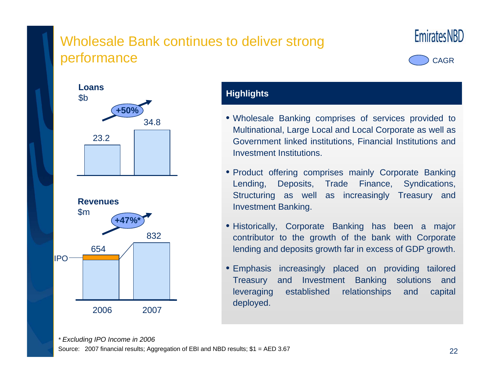# Wholesale Bank continues to deliver strong performance



CAGR





#### **Highlights**

- Wholesale Banking comprises of services provided to Multinational, Large Local and Local Corporate as well as Government linked institutions, Financial Institutions and Investment Institutions.
- Product offering comprises mainly Corporate Banking Lending, Deposits, Trade Finance, Syndications, Structuring as well as increasingly Treasury and Investment Banking.
- Historically, Corporate Banking has been a major contributor to the growth of the bank with Corporate lending and deposits growth far in excess of GDP growth.
- Emphasis increasingly placed on providing tailored Treasury and Investment Banking solutions and leveraging established relationships and capital deployed.

*\* Excluding IPO Income in 2006* Source: 2007 financial results; Aggregation of EBI and NBD results; \$1 = AED 3.67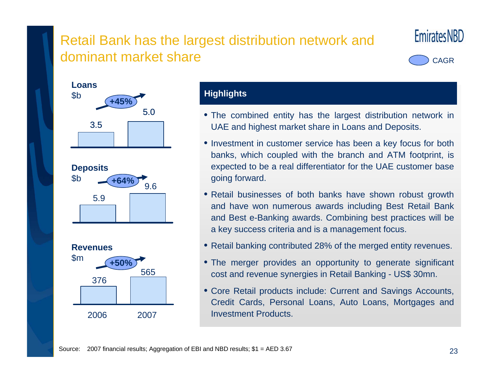# Retail Bank has the largest distribution network and dominant market share







#### **Highlights**

- The combined entity has the largest distribution network in UAE and highest market share in Loans and Deposits.
- Investment in customer service has been a key focus for both banks, which coupled with the branch and ATM footprint, is expected to be a real differentiator for the UAE customer base going forward.
- Retail businesses of both banks have shown robust growth and have won numerous awards including Best Retail Bank and Best e-Banking awards. Combining best practices will be a key success criteria and is a management focus.
- Retail banking contributed 28% of the merged entity revenues.
- The merger provides an opportunity to generate significant cost and revenue synergies in Retail Banking - US\$ 30mn.
- Core Retail products include: Current and Savings Accounts, Credit Cards, Personal Loans, Auto Loans, Mortgages and Investment Products.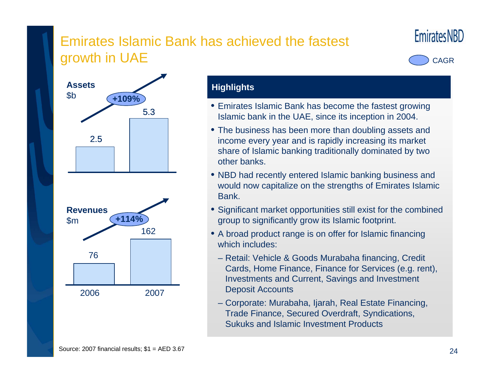# Emirates Islamic Bank has achieved the fastest growth in UAE







#### **Highlights**

- Emirates Islamic Bank has become the fastest growing Islamic bank in the UAE, since its inception in 2004.
- The business has been more than doubling assets and income every year and is rapidly increasing its market share of Islamic banking traditionally dominated by two other banks.
- NBD had recently entered Islamic banking business and would now capitalize on the strengths of Emirates Islamic Bank.
- Significant market opportunities still exist for the combined group to significantly grow its Islamic footprint.
- A broad product range is on offer for Islamic financing which includes:
	- Retail: Vehicle & Goods Murabaha financing, Credit Cards, Home Finance, Finance for Services (e.g. rent), Investments and Current, Savings and Investment Deposit Accounts
	- Corporate: Murabaha, Ijarah, Real Estate Financing, Trade Finance, Secured Overdraft, Syndications, Sukuks and Islamic Investment Products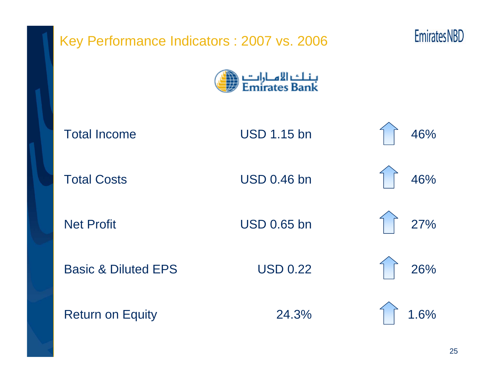| Key Performance Indicators : 2007 vs. 2006 | <b>Emirates NBD</b>                   |      |
|--------------------------------------------|---------------------------------------|------|
|                                            | بـنـلـــْ الامــارات<br>Emirates Bank |      |
| <b>Total Income</b>                        | <b>USD 1.15 bn</b>                    | 46%  |
| <b>Total Costs</b>                         | <b>USD 0.46 bn</b>                    | 46%  |
| <b>Net Profit</b>                          | <b>USD 0.65 bn</b>                    | 27%  |
| <b>Basic &amp; Diluted EPS</b>             | <b>USD 0.22</b>                       | 26%  |
| <b>Return on Equity</b>                    | 24.3%                                 | 1.6% |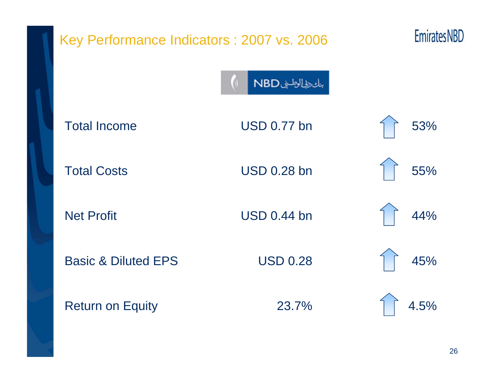| Key Performance Indicators : 2007 vs. 2006 | <b>Emirates NBD</b> |      |
|--------------------------------------------|---------------------|------|
|                                            | بالحطال الطياف      |      |
| <b>Total Income</b>                        | <b>USD 0.77 bn</b>  | 53%  |
| <b>Total Costs</b>                         | <b>USD 0.28 bn</b>  | 55%  |
| <b>Net Profit</b>                          | <b>USD 0.44 bn</b>  | 44%  |
| <b>Basic &amp; Diluted EPS</b>             | <b>USD 0.28</b>     | 45%  |
| <b>Return on Equity</b>                    | 23.7%               | 4.5% |
|                                            |                     |      |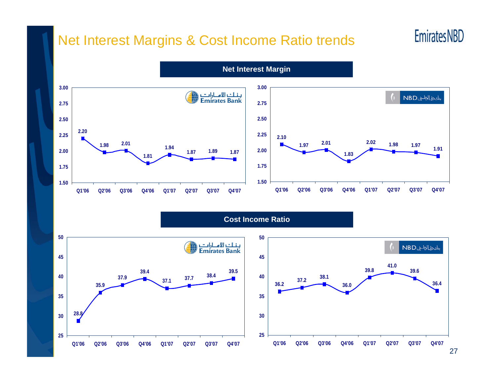### Net Interest Margins & Cost Income Ratio trends

# **EmiratesNBD**



**3.00**بالح ولي المطليف NBD **2.75 2.50 2.25 2.102.02 2.01 1.98**П **1.97 1.97 1.91 2.00 1.831.751.50** Q4'07 **Q1'06 Q2'06 Q3'06 Q4'06 Q1'07 Q2'07 Q3'07 Q4'07**

**Cost Income Ratio**

**Net Interest Margin**



27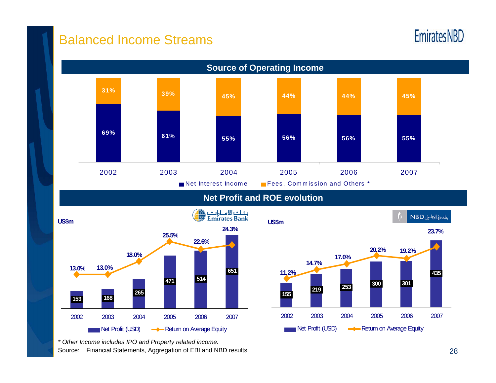### Balanced Income Streams

# **EmiratesNBD**



**Net Profit and ROE evolution**





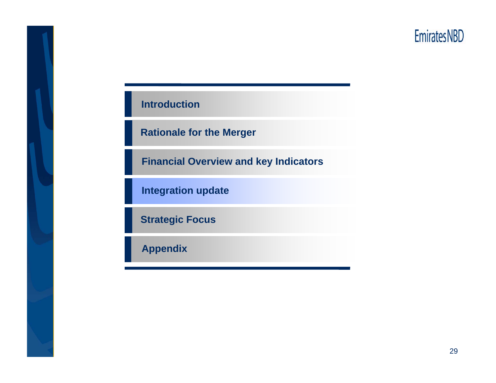# **EmiratesNBD**

#### **Introduction**

**Rationale for the Merger**

**Financial Overview and key Indicators**

**Integration update**

**Strategic Focus**

**Appendix**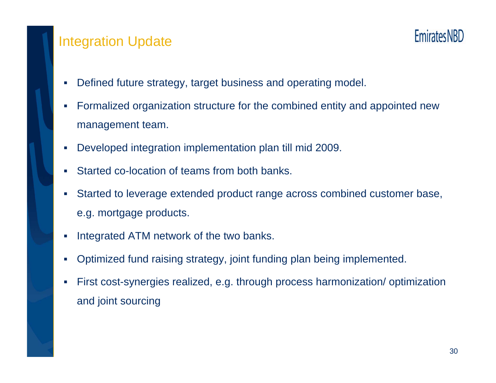### Integration Update



- $\mathcal{L}_{\mathcal{A}}$ Defined future strategy, target business and operating model.
- $\mathcal{L}_{\mathcal{A}}$  Formalized organization structure for the combined entity and appointed new management team.
- $\mathcal{L}_{\mathcal{A}}$ Developed integration implementation plan till mid 2009.
- П Started co-location of teams from both banks.
- П Started to leverage extended product range across combined customer base, e.g. mortgage products.
- П Integrated ATM network of the two banks.
- $\mathcal{L}_{\mathcal{A}}$ Optimized fund raising strategy, joint funding plan being implemented.
- П First cost-synergies realized, e.g. through process harmonization/ optimization and joint sourcing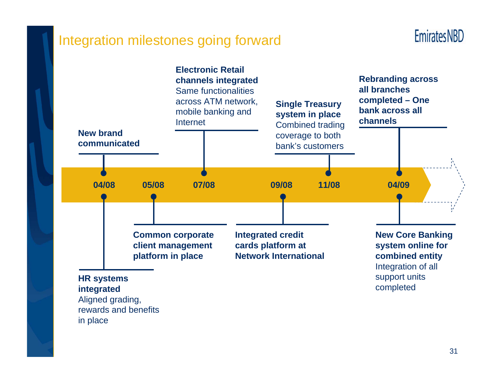### Integration milestones going forward

**EmiratesNBD** 

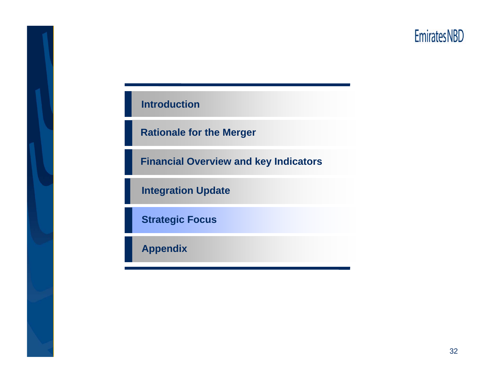# **EmiratesNBD**

#### **Introduction**

**Rationale for the Merger**

**Financial Overview and key Indicators**

**Integration Update**

**Strategic Focus**

**Appendix**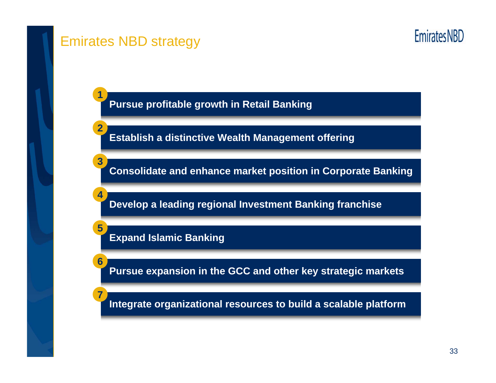

### Emirates NBD strategy

**1**

**2**

**3**

**4**

**5**

**6**

**7**

**EmiratesNBD** 

**Pursue profitable growth in Retail Banking**

**Establish a distinctive Wealth Management offering**

**Consolidate and enhance market position in Corporate Banking** 

**Develop a leading regional Investment Banking franchise**

**Expand Islamic Banking**

**Pursue expansion in the GCC and other key strategic markets**

**Integrate organizational resources to build a scalable platform**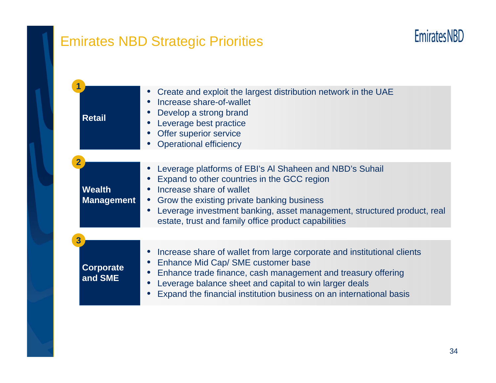# Emirates NBD Strategic Priorities

# **EmiratesNBD**

| <b>Retail</b>                          | Create and exploit the largest distribution network in the UAE<br>Increase share-of-wallet<br>Develop a strong brand<br>Leverage best practice<br>Offer superior service<br><b>Operational efficiency</b>                                                                                                           |
|----------------------------------------|---------------------------------------------------------------------------------------------------------------------------------------------------------------------------------------------------------------------------------------------------------------------------------------------------------------------|
| <b>Wealth</b><br><b>Management</b>     | Leverage platforms of EBI's AI Shaheen and NBD's Suhail<br>Expand to other countries in the GCC region<br>Increase share of wallet<br>Grow the existing private banking business<br>Leverage investment banking, asset management, structured product, real<br>estate, trust and family office product capabilities |
| $\overline{3}$<br>Corporate<br>and SME | Increase share of wallet from large corporate and institutional clients<br>Enhance Mid Cap/ SME customer base<br>Enhance trade finance, cash management and treasury offering<br>Leverage balance sheet and capital to win larger deals<br>Expand the financial institution business on an international basis      |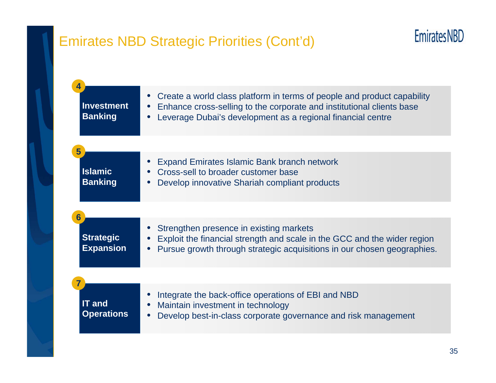# Emirates NBD Strategic Priorities (Cont'd)

| 4<br><b>Investment</b><br><b>Banking</b>  | Create a world class platform in terms of people and product capability<br>$\bullet$<br>Enhance cross-selling to the corporate and institutional clients base<br>Leverage Dubai's development as a regional financial centre |
|-------------------------------------------|------------------------------------------------------------------------------------------------------------------------------------------------------------------------------------------------------------------------------|
| 5                                         |                                                                                                                                                                                                                              |
| <b>Islamic</b><br><b>Banking</b>          | Expand Emirates Islamic Bank branch network<br>Cross-sell to broader customer base<br>Develop innovative Shariah compliant products                                                                                          |
|                                           |                                                                                                                                                                                                                              |
| 6<br><b>Strategic</b><br><b>Expansion</b> | Strengthen presence in existing markets<br>Exploit the financial strength and scale in the GCC and the wider region<br>Pursue growth through strategic acquisitions in our chosen geographies.                               |
|                                           |                                                                                                                                                                                                                              |
| <b>IT and</b><br><b>Operations</b>        | Integrate the back-office operations of EBI and NBD<br>Maintain investment in technology<br>Develop best-in-class corporate governance and risk management                                                                   |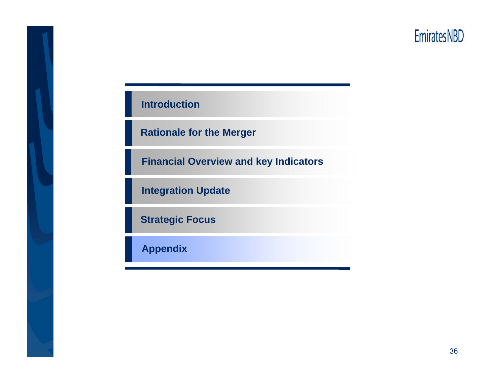# **EmiratesNBD**

#### **Introduction**

**Rationale for the Merger**

**Financial Overview and key Indicators**

**Integration Update**

**Strategic Focus**

**Appendix**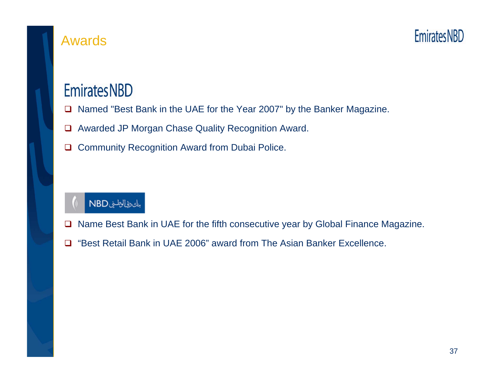

### Awards

# **EmiratesNBD**

- $\Box$ Named "Best Bank in the UAE for the Year 2007" by the Banker Magazine.
- $\Box$ Awarded JP Morgan Chase Quality Recognition Award.
- $\Box$ Community Recognition Award from Dubai Police.

# بنك طالطين NBD

- $\Box$ Name Best Bank in UAE for the fifth consecutive year by Global Finance Magazine.
- □ "Best Retail Bank in UAE 2006" award from The Asian Banker Excellence.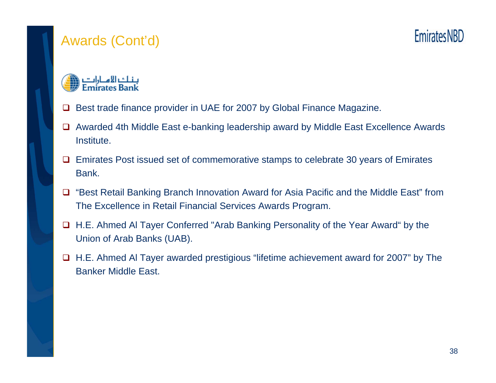# Awards (Cont'd)



- $\Box$ Best trade finance provider in UAE for 2007 by Global Finance Magazine.
- Awarded 4th Middle East e-banking leadership award by Middle East Excellence Awards Institute.
- **□** Emirates Post issued set of commemorative stamps to celebrate 30 years of Emirates Bank.
- □ "Best Retail Banking Branch Innovation Award for Asia Pacific and the Middle East" from The Excellence in Retail Financial Services Awards Program.
- H.E. Ahmed Al Tayer Conferred "Arab Banking Personality of the Year Award" by the Union of Arab Banks (UAB).
- H.E. Ahmed Al Tayer awarded prestigious "lifetime achievement award for 2007" by The Banker Middle East.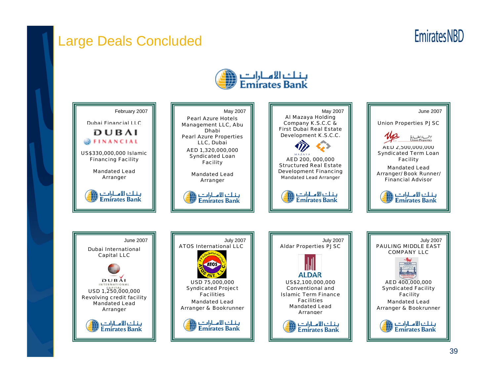### Large Deals Concluded

**EmiratesNBD** 



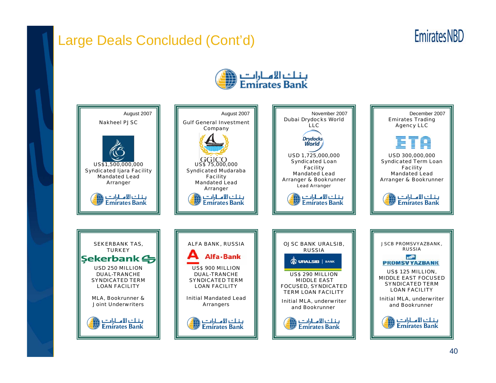# Large Deals Concluded (Cont'd)

# **Emirates NBD**



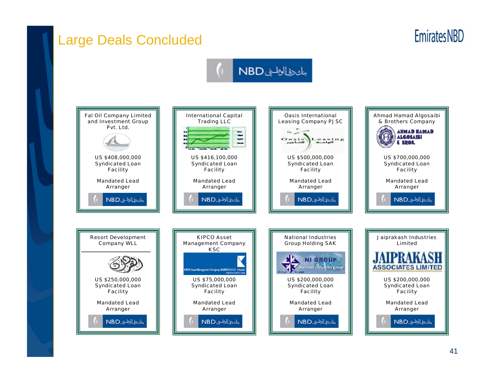# Large Deals Concluded

# **Emirates NBD**

# بالحاط الطليف NBD